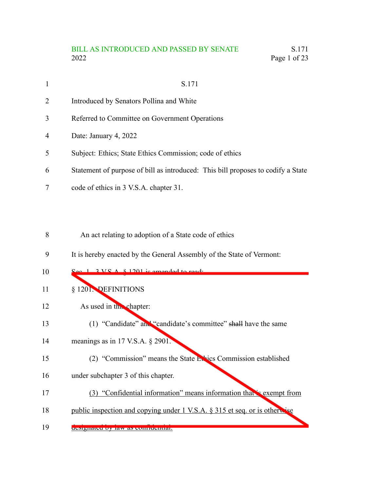# BILL AS INTRODUCED AND PASSED BY SENATE<br>2022 Page 1 of 23 Page 1 of 23

| $\mathbf{1}$   | S.171                                                                            |
|----------------|----------------------------------------------------------------------------------|
| $\overline{2}$ | Introduced by Senators Pollina and White                                         |
| 3              | Referred to Committee on Government Operations                                   |
| $\overline{4}$ | Date: January 4, 2022                                                            |
| 5              | Subject: Ethics; State Ethics Commission; code of ethics                         |
| 6              | Statement of purpose of bill as introduced: This bill proposes to codify a State |
|                | code of ethics in 3 V.S.A. chapter 31.                                           |

An act relating to adoption of a State code of ethics 8

It is hereby enacted by the General Assembly of the State of Vermont: 9

| 10 | $S_{\alpha\alpha}$ 1 2 VC $\Lambda$ $\&$ 1201 is amonded to read.          |
|----|----------------------------------------------------------------------------|
| 11 | § 1201. DEFINITIONS                                                        |
| 12 | As used in the chapter:                                                    |
| 13 | (1) "Candidate" and "candidate's committee" shall have the same            |
| 14 | meanings as in 17 V.S.A. $\S$ 2901.                                        |
| 15 | (2) "Commission" means the State Echics Commission established             |
| 16 | under subchapter 3 of this chapter.                                        |
| 17 | (3) "Confidential information" means information that is exempt from       |
| 18 | public inspection and copying under 1 V.S.A. § 315 et seq. or is otherwise |
| 19 | designated by law as confidential.                                         |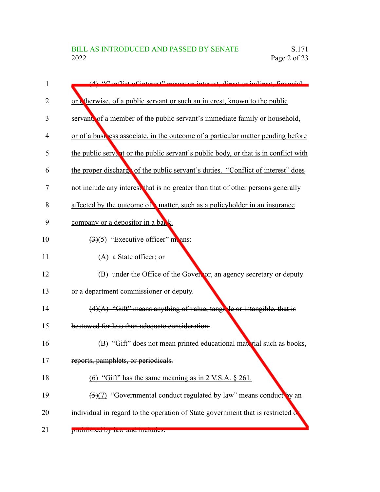| 1  | (A) "Conflict of interset" means an interest direct or indirect financial             |
|----|---------------------------------------------------------------------------------------|
| 2  | or cherwise, of a public servant or such an interest, known to the public             |
| 3  | servant, of a member of the public servant's immediate family or household,           |
| 4  | or of a business associate, in the outcome of a particular matter pending before      |
| 5  | the public servant or the public servant's public body, or that is in conflict with   |
| 6  | the proper discharge of the public servant's duties. "Conflict of interest" does      |
| 7  | not include any interest that is no greater than that of other persons generally      |
| 8  | affected by the outcome of matter, such as a policyholder in an insurance             |
| 9  | company or a depositor in a bank.                                                     |
| 10 | $\left(\frac{3}{5}\right)$ "Executive officer" monomers:                              |
| 11 | (A) a State officer; or                                                               |
| 12 | (B) under the Office of the Governor, an agency secretary or deputy                   |
| 13 | or a department commissioner or deputy.                                               |
| 14 | $(4)(A)$ "Gift" means anything of value, tangle or intangible, that is                |
| 15 | bestowed for less than adequate consideration.                                        |
| 16 | (B) "Gift" does not mean printed educational material such as books,                  |
| 17 | reports, pamphlets, or periodicals.                                                   |
| 18 | (6) "Gift" has the same meaning as in $2$ V.S.A. $\S$ 261.                            |
| 19 | $\frac{5}{12}$ "Governmental conduct regulated by law" means conduct by an            |
| 20 | individual in regard to the operation of State government that is restricted $\delta$ |
| 21 | promoned by law and menudes.                                                          |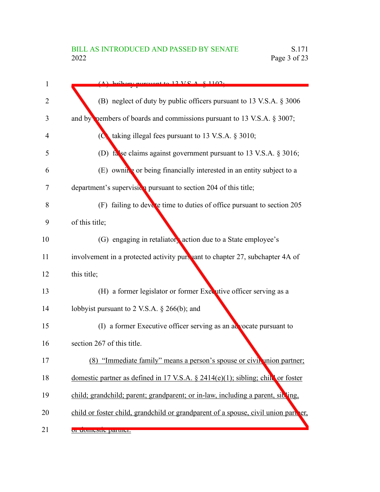| 1  | $(A)$ bribary nurguant to 12 VC $A \times 1102$ .                                  |
|----|------------------------------------------------------------------------------------|
| 2  | (B) neglect of duty by public officers pursuant to 13 V.S.A. § 3006                |
| 3  | and by nembers of boards and commissions pursuant to 13 V.S.A. $\S$ 3007;          |
| 4  | ( $\bullet$ taking illegal fees pursuant to 13 V.S.A. § 3010;                      |
| 5  | (D) false claims against government pursuant to 13 V.S.A. § 3016;                  |
| 6  | (E) owning or being financially interested in an entity subject to a               |
| 7  | department's supervision pursuant to section 204 of this title;                    |
| 8  | (F) failing to devote time to duties of office pursuant to section 205             |
| 9  | of this title;                                                                     |
| 10 | (G) engaging in retaliatory action due to a State employee's                       |
| 11 | involvement in a protected activity pursuant to chapter 27, subchapter 4A of       |
| 12 | this title;                                                                        |
| 13 | (H) a former legislator or former Executive officer serving as a                   |
| 14 | lobbyist pursuant to 2 V.S.A. $\S$ 266(b); and                                     |
| 15 | (I) a former Executive officer serving as an advocate pursuant to                  |
| 16 | section 267 of this title.                                                         |
| 17 | (8) "Immediate family" means a person's spouse or civil union partner;             |
| 18 | domestic partner as defined in 17 V.S.A. $\S$ 2414(e)(1); sibling; child or foster |
| 19 | child; grandchild; parent; grandparent; or in-law, including a parent, sibling,    |
| 20 | child or foster child, grandchild or grandparent of a spouse, civil union part er, |
| 21 | or domestic partier.                                                               |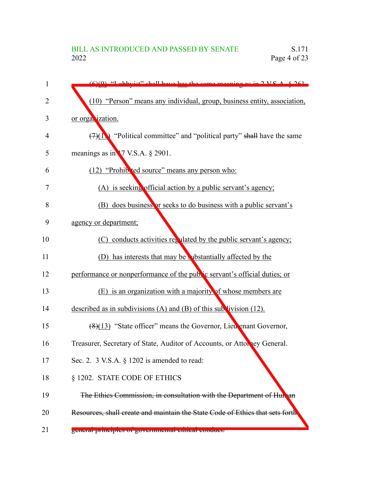| 1  | $f(x)(0)$ "I obbyist" shall have bee the same meaning as in $2 \text{ V}S$ $\Lambda$ $8.261$ |
|----|----------------------------------------------------------------------------------------------|
| 2  | (10) "Person" means any individual, group, business entity, association,                     |
| 3  | or organization.                                                                             |
| 4  | $(7)(1)$ "Political committee" and "political party" shall have the same                     |
| 5  | meanings as in 17 V.S.A. § 2901.                                                             |
| 6  | (12) "Prohib 'ed source" means any person who:                                               |
| 7  | (A) is seeking official action by a public servant's agency;                                 |
| 8  | (B) does business or seeks to do business with a public servant's                            |
| 9  | agency or department;                                                                        |
| 10 | (C) conducts activities regulated by the public servant's agency;                            |
| 11 | (D) has interests that may be vibstantially affected by the                                  |
| 12 | performance or nonperformance of the public servant's official duties; or                    |
| 13 | (E) is an organization with a majority of whose members are                                  |
| 14 | described as in subdivisions (A) and (B) of this subdivision $(12)$ .                        |
| 15 | (8)(13) "State officer" means the Governor, Lieu enant Governor,                             |
| 16 | Treasurer, Secretary of State, Auditor of Accounts, or Attorney General.                     |
| 17 | Sec. 2. $3$ V.S.A. $\S$ 1202 is amended to read:                                             |
| 18 | § 1202. STATE CODE OF ETHICS                                                                 |
| 19 | The Ethics Commission, in consultation with the Department of Hun an                         |
| 20 | Resources, shall create and maintain the State Code of Ethics that sets forth                |
| 21 | generar principles or governmentar cultear conquet.                                          |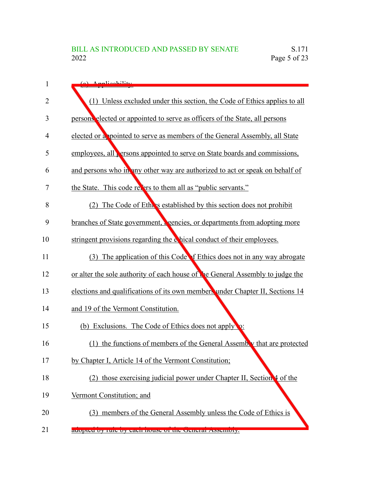| 1              | (a) Applicability                                                                 |
|----------------|-----------------------------------------------------------------------------------|
| $\overline{2}$ | (1) Unless excluded under this section, the Code of Ethics applies to all         |
| 3              | persons elected or appointed to serve as officers of the State, all persons       |
| 4              | elected or a pointed to serve as members of the General Assembly, all State       |
| 5              | employees, all <b>e</b> rsons appointed to serve on State boards and commissions, |
| 6              | and persons who in any other way are authorized to act or speak on behalf of      |
| 7              | the State. This code refers to them all as "public servants."                     |
| 8              | The Code of Ethers established by this section does not prohibit<br>(2)           |
| 9              | branches of State government, egencies, or departments from adopting more         |
| 10             | stringent provisions regarding the chical conduct of their employees.             |
| 11             | (3) The application of this Code of Ethics does not in any way abrogate           |
| 12             | or alter the sole authority of each house of the General Assembly to judge the    |
| 13             | elections and qualifications of its own members under Chapter II, Sections 14     |
| 14             | and 19 of the Vermont Constitution.                                               |
| 15             | (b) Exclusions. The Code of Ethics does not apply                                 |
| 16             | (1) the functions of members of the General Assembly that are protected           |
| 17             | by Chapter I, Article 14 of the Vermont Constitution;                             |
| 18             | (2) those exercising judicial power under Chapter II, Section 4 of the            |
| 19             | Vermont Constitution; and                                                         |
| 20             | (3) members of the General Assembly unless the Code of Ethics is                  |
| 21             | auopteu by ruie by each house of the Cleneral Assembly.                           |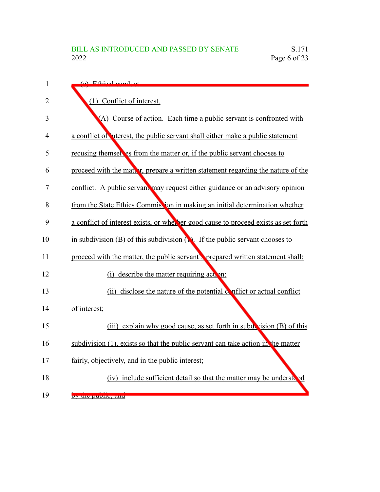| $\mathbf{1}$   | (a) Ethical conduct                                                                      |
|----------------|------------------------------------------------------------------------------------------|
| $\overline{2}$ | (1) Conflict of interest.                                                                |
| 3              | (A) Course of action. Each time a public servant is confronted with                      |
| 4              | a conflict of interest, the public servant shall either make a public statement          |
| 5              | recusing themsel es from the matter or, if the public servant chooses to                 |
| 6              | proceed with the matter, prepare a written statement regarding the nature of the         |
| 7              | conflict. A public servant may request either guidance or an advisory opinion            |
| 8              | from the State Ethics Commission in making an initial determination whether              |
| 9              | a conflict of interest exists, or whether good cause to proceed exists as set forth      |
| 10             | in subdivision (B) of this subdivision $\binom{n}{k}$ . If the public servant chooses to |
| 11             | proceed with the matter, the public servant's prepared written statement shall:          |
| 12             | (i) describe the matter requiring action;                                                |
| 13             | (ii) disclose the nature of the potential conflict or actual conflict                    |
| 14             | of interest;                                                                             |
| 15             | (iii) explain why good cause, as set forth in subdivision (B) of this                    |
| 16             | subdivision (1), exists so that the public servant can take action in the matter         |
| 17             | fairly, objectively, and in the public interest;                                         |
| 18             | (iv) include sufficient detail so that the matter may be understood                      |
| 19             | by the public, and                                                                       |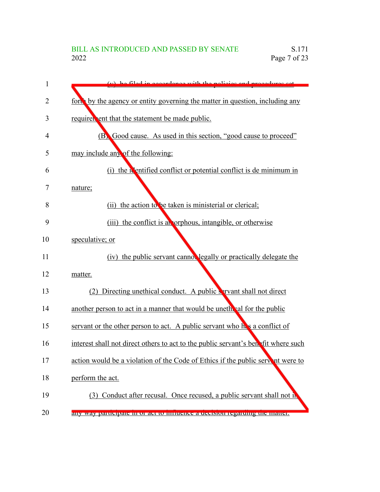| 1  | (y) be filed in eccordance with the policies and procedures set                    |
|----|------------------------------------------------------------------------------------|
| 2  | ford by the agency or entity governing the matter in question, including any       |
| 3  | requirer ent that the statement be made public.                                    |
| 4  | (B) Good cause. As used in this section, "good cause to proceed"                   |
| 5  | may include any of the following:                                                  |
| 6  | (i) the <b>N</b> entified conflict or potential conflict is de minimum in          |
| 7  | nature;                                                                            |
| 8  | the action to be taken is ministerial or clerical;<br>(ii)                         |
| 9  | (iii) the conflict is all orphous, intangible, or otherwise                        |
| 10 | speculative; or                                                                    |
| 11 | (iv) the public servant cannot legally or practically delegate the                 |
| 12 | matter.                                                                            |
| 13 | (2) Directing unethical conduct. A public servant shall not direct                 |
| 14 | another person to act in a manner that would be unether all for the public         |
| 15 | servant or the other person to act. A public servant who he's a conflict of        |
| 16 | interest shall not direct others to act to the public servant's benefit where such |
| 17 | action would be a violation of the Code of Ethics if the public servent were to    |
| 18 | perform the act.                                                                   |
| 19 | (3) Conduct after recusal. Once recused, a public servant shall not in             |
| 20 | any way participate in or act to influence a decision regarding the matter.        |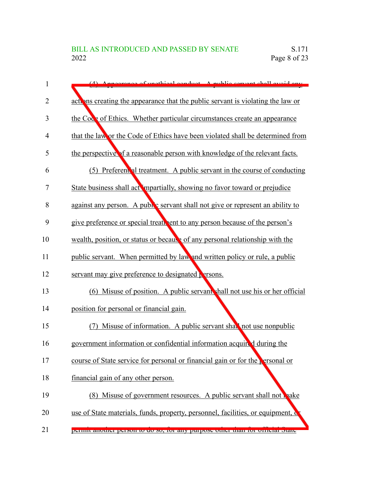| 1  | (4) Appearance of unothical conduct A public convent shall avoid on                        |
|----|--------------------------------------------------------------------------------------------|
| 2  | action are actions creating the appearance that the public servant is violating the law or |
| 3  | the Code of Ethics. Whether particular circumstances create an appearance                  |
| 4  | that the law or the Code of Ethics have been violated shall be determined from             |
| 5  | the perspective of a reasonable person with knowledge of the relevant facts.               |
| 6  | (5) Preferent al treatment. A public servant in the course of conducting                   |
| 7  | State business shall act impartially, showing no favor toward or prejudice                 |
| 8  | against any person. A public servant shall not give or represent an ability to             |
| 9  | give preference or special treatment to any person because of the person's                 |
| 10 | wealth, position, or status or because of any personal relationship with the               |
| 11 | public servant. When permitted by law and written policy or rule, a public                 |
| 12 | servant may give preference to designated <b>P</b> arsons.                                 |
| 13 | (6) Misuse of position. A public servant shall not use his or her official                 |
| 14 | position for personal or financial gain.                                                   |
| 15 | Misuse of information. A public servant shall not use nonpublic                            |
| 16 | government information or confidential information acquired during the                     |
| 17 | course of State service for personal or financial gain or for the $\epsilon$ ersonal or    |
| 18 | financial gain of any other person.                                                        |
| 19 | (8) Misuse of government resources. A public servant shall not make                        |
| 20 | use of State materials, funds, property, personnel, facilities, or equipment, c            |
| 21 | permit another person to do so, for any purpose other than for orticial state              |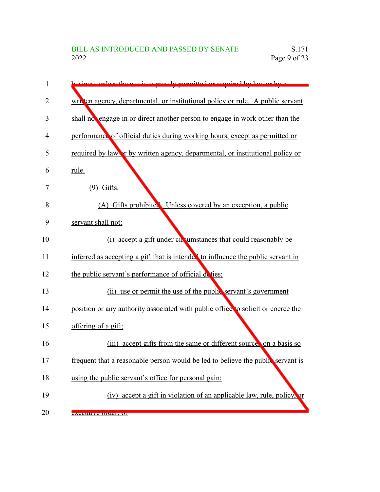| 1  | ess unless the use is expressly permitted or required by low or by a             |
|----|----------------------------------------------------------------------------------|
| 2  | written agency, departmental, or institutional policy or rule. A public servant  |
| 3  | shall no engage in or direct another person to engage in work other than the     |
| 4  | performance of official duties during working hours, except as permitted or      |
| 5  | required by law or by written agency, departmental, or institutional policy or   |
| 6  | rule.                                                                            |
| 7  | $(9)$ Gifts.                                                                     |
| 8  | (A) Gifts prohibited Unless covered by an exception, a public                    |
| 9  | servant shall not:                                                               |
| 10 | (i) accept a gift under circumstances that could reasonably be                   |
| 11 | inferred as accepting a gift that is intended to influence the public servant in |
| 12 | the public servant's performance of official deties;                             |
| 13 | (ii) use or permit the use of the public servant's government                    |
| 14 | position or any authority associated with public office to solicit or coerce the |
| 15 | offering of a gift;                                                              |
| 16 | accept gifts from the same or different source on a basis so<br>(iii)            |
| 17 | frequent that a reasonable person would be led to believe the public servant is  |
| 18 | using the public servant's office for personal gain;                             |
| 19 | (iv) accept a gift in violation of an applicable law, rule, policy, or           |
| 20 | <b>EXECUTIVE OTHEL, OF</b>                                                       |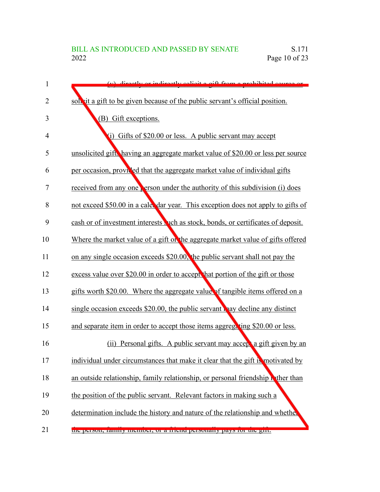| 1              | (y) directly or indirectly solicity off from a probibited source or                  |
|----------------|--------------------------------------------------------------------------------------|
| 2              | solvit a gift to be given because of the public servant's official position.         |
| 3              | (B) Gift exceptions.                                                                 |
| $\overline{4}$ | (i) Gifts of \$20.00 or less. A public servant may accept                            |
| 5              | unsolicited gift, having an aggregate market value of \$20.00 or less per source     |
| 6              | per occasion, provided that the aggregate market value of individual gifts           |
| 7              | received from any one <b>Person under the authority of this subdivision</b> (i) does |
| 8              | not exceed \$50.00 in a cale. dar year. This exception does not apply to gifts of    |
| 9              | cash or of investment interests wich as stock, bonds, or certificates of deposit.    |
| 10             | Where the market value of a gift on the aggregate market value of gifts offered      |
| 11             | on any single occasion exceeds \$20.00, the public servant shall not pay the         |
| 12             | excess value over \$20.00 in order to accept that portion of the gift or those       |
| 13             | gifts worth \$20.00. Where the aggregate value of tangible items offered on a        |
| 14             | single occasion exceeds $$20.00$ , the public servant way decline any distinct       |
| 15             | and separate item in order to accept those items aggregating \$20.00 or less.        |
| 16             | Personal gifts. A public servant may accept a gift given by an<br>(i)                |
| 17             | individual under circumstances that make it clear that the gift is motivated by      |
| 18             | an outside relationship, family relationship, or personal friendship wither than     |
| 19             | the position of the public servant. Relevant factors in making such a                |
| 20             | determination include the history and nature of the relationship and whether         |
| 21             | the person, family includer, or a friend personally pays for the gift.               |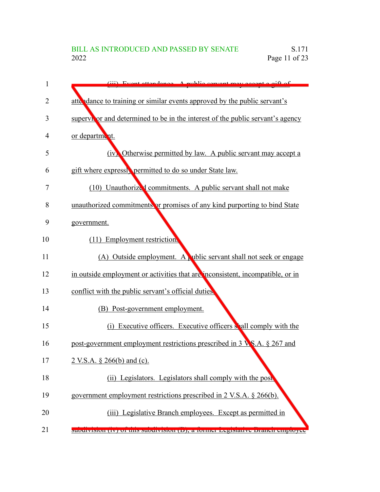| 1  | (iii) Event attendance A public convent may accent a gift of                        |
|----|-------------------------------------------------------------------------------------|
| 2  | atte dance to training or similar events approved by the public servant's           |
| 3  | supervivor and determined to be in the interest of the public servant's agency      |
| 4  | or department.                                                                      |
| 5  | (iv) Otherwise permitted by law. A public servant may accept a                      |
| 6  | gift where expressly permitted to do so under State law.                            |
| 7  | (10) Unauthorized commitments. A public servant shall not make                      |
| 8  | unauthorized commitments or promises of any kind purporting to bind State           |
| 9  | government.                                                                         |
| 10 | (11) Employment restriction.                                                        |
| 11 | (A) Outside employment. A ublic servant shall not seek or engage                    |
| 12 | in outside employment or activities that are inconsistent, incompatible, or in      |
| 13 | conflict with the public servant's official duties.                                 |
| 14 | (B) Post-government employment.                                                     |
| 15 | (i) Executive officers. Executive officers shall comply with the                    |
| 16 | post-government employment restrictions prescribed in 3 $\mathbf{V}$ S.A. § 267 and |
| 17 | 2 V.S.A. § 266(b) and (c).                                                          |
| 18 | (ii) Legislators. Legislators shall comply with the post                            |
| 19 | government employment restrictions prescribed in 2 V.S.A. § 266(b).                 |
| 20 | (iii) Legislative Branch employees. Except as permitted in                          |
| 21 | sucurvision (IV) of this sucurvision (D), a former registative pranen employee      |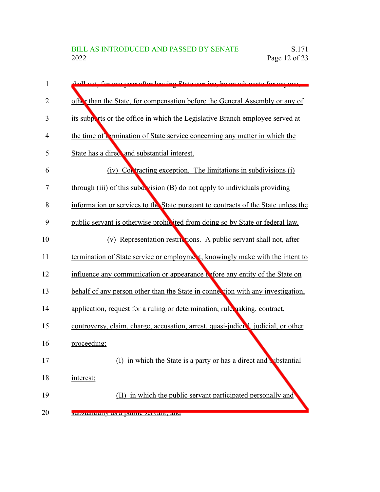| 1  | shall not for one year after leaving State service, he an advocate for anyone      |
|----|------------------------------------------------------------------------------------|
| 2  | other than the State, for compensation before the General Assembly or any of       |
| 3  | its subports or the office in which the Legislative Branch employee served at      |
| 4  | the time of <b>Permination</b> of State service concerning any matter in which the |
| 5  | State has a direct and substantial interest.                                       |
| 6  | (iv) Contracting exception. The limitations in subdivisions (i)                    |
| 7  | through (iii) of this subdevision (B) do not apply to individuals providing        |
| 8  | information or services to the State pursuant to contracts of the State unless the |
| 9  | public servant is otherwise prohibited from doing so by State or federal law.      |
| 10 | (v) Representation restrictions. A public servant shall not, after                 |
| 11 | termination of State service or employment, knowingly make with the intent to      |
| 12 | influence any communication or appearance to efore any entity of the State on      |
| 13 | behalf of any person other than the State in connection with any investigation,    |
| 14 | application, request for a ruling or determination, rule naking, contract,         |
| 15 | controversy, claim, charge, accusation, arrest, quasi-judicial, judicial, or other |
| 16 | proceeding:                                                                        |
| 17 | in which the State is a party or has a direct and substantial<br>(I)               |
| 18 | interest;                                                                          |
| 19 | (II) in which the public servant participated personally and                       |
| 20 | substantially as a public servant, and                                             |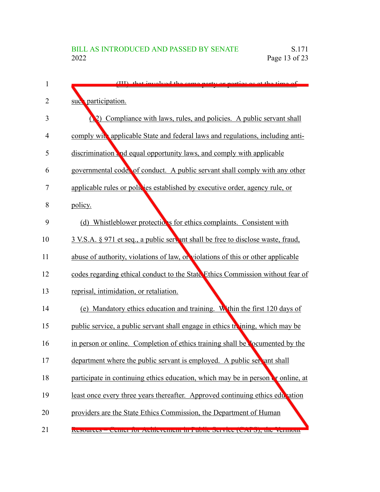| 1  | (III) that involved the same party or parties as at the time of                   |
|----|-----------------------------------------------------------------------------------|
| 2  | suc <sup>o</sup> participation.                                                   |
| 3  | Compliance with laws, rules, and policies. A public servant shall<br>$\mathbf{Q}$ |
| 4  | comply with applicable State and federal laws and regulations, including anti-    |
| 5  | discrimination and equal opportunity laws, and comply with applicable             |
| 6  | governmental codes of conduct. A public servant shall comply with any other       |
| 7  | applicable rules or policies established by executive order, agency rule, or      |
| 8  | policy.                                                                           |
| 9  | (d) Whistleblower protections for ethics complaints. Consistent with              |
| 10 | 3 V.S.A. § 971 et seq., a public servant shall be free to disclose waste, fraud,  |
| 11 | abuse of authority, violations of law, or violations of this or other applicable  |
| 12 | codes regarding ethical conduct to the State Ethics Commission without fear of    |
| 13 | reprisal, intimidation, or retaliation.                                           |
| 14 | (e) Mandatory ethics education and training. Within the first 120 days of         |
| 15 | public service, a public servant shall engage in ethics the ining, which may be   |
| 16 | in person or online. Completion of ethics training shall be commented by the      |
| 17 | department where the public servant is employed. A public servant shall           |
| 18 | participate in continuing ethics education, which may be in person or online, at  |
| 19 | least once every three years thereafter. Approved continuing ethics education     |
| 20 | providers are the State Ethics Commission, the Department of Human                |
| 21 | Resources – Center for Achievement in Fuone Service (CAFS), the vermont           |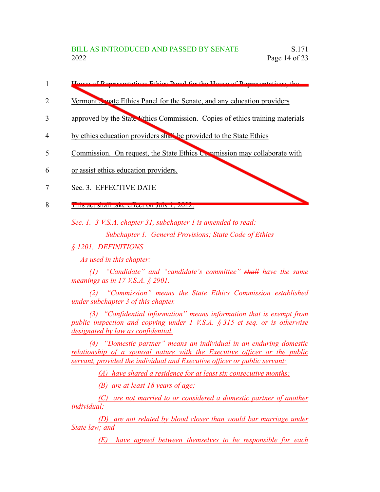- of Donrecentatives Ethics Danal for the House of Representatives, 1
- Vermont Senate Ethics Panel for the Senate, and any education providers 2
- approved by the State Ethics Commission. Copies of ethics training materials 3
- by ethics education providers shall be provided to the State Ethics 4
- Commission. On request, the State Ethics Commission may collaborate with 5
- or assist ethics education providers. 6
- Sec. 3. EFFECTIVE DATE 7
- THIS act shall take effect on July 1, 2022. 8

*Sec. 1. 3 V.S.A. chapter 31, subchapter 1 is amended to read:*

*Subchapter 1. General Provisions; State Code of Ethics*

*§ 1201. DEFINITIONS*

*As used in this chapter:*

*(1) "Candidate" and "candidate's committee" shall have the same meanings as in 17 V.S.A. § 2901.*

*(2) "Commission" means the State Ethics Commission established under subchapter 3 of this chapter.*

*(3) "Confidential information" means information that is exempt from public inspection and copying under 1 V.S.A. § 315 et seq. or is otherwise designated by law as confidential.*

*(4) "Domestic partner" means an individual in an enduring domestic relationship of a spousal nature with the Executive officer or the public servant, provided the individual and Executive officer or public servant:*

*(A) have shared a residence for at least six consecutive months;*

*(B) are at least 18 years of age;*

*(C) are not married to or considered a domestic partner of another individual;*

*(D) are not related by blood closer than would bar marriage under State law; and*

*(E) have agreed between themselves to be responsible for each*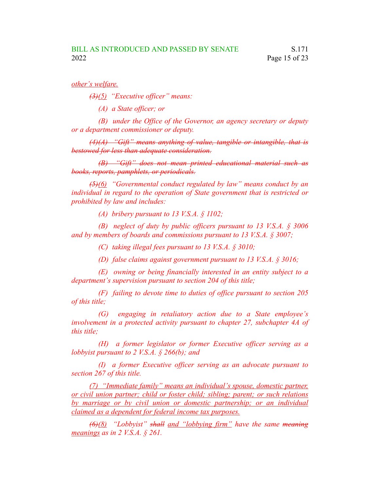*other's welfare.*

*(3)(5) "Executive officer" means:*

*(A) a State officer; or*

*(B) under the Office of the Governor, an agency secretary or deputy or a department commissioner or deputy.*

*(4)(A) "Gift" means anything of value, tangible or intangible, that is bestowed for less than adequate consideration.*

*(B) "Gift" does not mean printed educational material such as books, reports, pamphlets, or periodicals.*

*(5)(6) "Governmental conduct regulated by law" means conduct by an individual in regard to the operation of State government that is restricted or prohibited by law and includes:*

*(A) bribery pursuant to 13 V.S.A. § 1102;*

*(B) neglect of duty by public officers pursuant to 13 V.S.A. § 3006 and by members of boards and commissions pursuant to 13 V.S.A. § 3007;*

*(C) taking illegal fees pursuant to 13 V.S.A. § 3010;*

*(D) false claims against government pursuant to 13 V.S.A. § 3016;*

*(E) owning or being financially interested in an entity subject to a department's supervision pursuant to section 204 of this title;*

*(F) failing to devote time to duties of office pursuant to section 205 of this title;*

*(G) engaging in retaliatory action due to a State employee's involvement in a protected activity pursuant to chapter 27, subchapter 4A of this title;*

*(H) a former legislator or former Executive officer serving as a lobbyist pursuant to 2 V.S.A. § 266(b); and*

*(I) a former Executive officer serving as an advocate pursuant to section 267 of this title.*

*(7) "Immediate family" means an individual's spouse, domestic partner, or civil union partner; child or foster child; sibling; parent; or such relations by marriage or by civil union or domestic partnership; or an individual claimed as a dependent for federal income tax purposes.*

*(6)(8) "Lobbyist" shall and "lobbying firm" have the same meaning meanings as in 2 V.S.A. § 261.*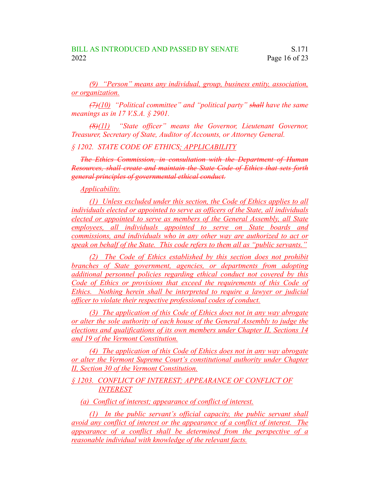*(9) "Person" means any individual, group, business entity, association, or organization.*

*(7)(10) "Political committee" and "political party" shall have the same meanings as in 17 V.S.A. § 2901.*

*(8)(11) "State officer" means the Governor, Lieutenant Governor, Treasurer, Secretary of State, Auditor of Accounts, or Attorney General.*

#### *§ 1202. STATE CODE OF ETHICS; APPLICABILITY*

*The Ethics Commission, in consultation with the Department of Human Resources, shall create and maintain the State Code of Ethics that sets forth general principles of governmental ethical conduct.*

### *Applicability.*

*(1) Unless excluded under this section, the Code of Ethics applies to all individuals elected or appointed to serve as officers of the State, all individuals elected or appointed to serve as members of the General Assembly, all State employees, all individuals appointed to serve on State boards and commissions, and individuals who in any other way are authorized to act or speak on behalf of the State. This code refers to them all as "public servants."*

*(2) The Code of Ethics established by this section does not prohibit branches of State government, agencies, or departments from adopting additional personnel policies regarding ethical conduct not covered by this Code of Ethics or provisions that exceed the requirements of this Code of Ethics. Nothing herein shall be interpreted to require a lawyer or judicial officer to violate their respective professional codes of conduct.*

*(3) The application of this Code of Ethics does not in any way abrogate or alter the sole authority of each house of the General Assembly to judge the elections and qualifications of its own members under Chapter II, Sections 14 and 19 of the Vermont Constitution.*

*(4) The application of this Code of Ethics does not in any way abrogate or alter the Vermont Supreme Court's constitutional authority under Chapter II, Section 30 of the Vermont Constitution.*

*§ 1203. CONFLICT OF INTEREST; APPEARANCE OF CONFLICT OF INTEREST*

*(a) Conflict of interest; appearance of conflict of interest.*

*(1) In the public servant's official capacity, the public servant shall avoid any conflict of interest or the appearance of a conflict of interest. The appearance of a conflict shall be determined from the perspective of a reasonable individual with knowledge of the relevant facts.*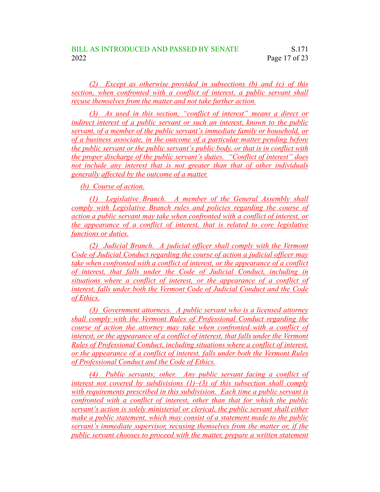*(2) Except as otherwise provided in subsections (b) and (c) of this section, when confronted with a conflict of interest, a public servant shall recuse themselves from the matter and not take further action.*

*(3) As used in this section, "conflict of interest" means a direct or indirect interest of a public servant or such an interest, known to the public servant, of a member of the public servant's immediate family or household, or of a business associate, in the outcome of a particular matter pending before the public servant or the public servant's public body, or that is in conflict with the proper discharge of the public servant's duties. "Conflict of interest" does not include any interest that is not greater than that of other individuals generally affected by the outcome of a matter.*

*(b) Course of action.*

*(1) Legislative Branch. A member of the General Assembly shall comply with Legislative Branch rules and policies regarding the course of action a public servant may take when confronted with a conflict of interest, or the appearance of a conflict of interest, that is related to core legislative functions or duties.*

*(2) Judicial Branch. A judicial officer shall comply with the Vermont Code of Judicial Conduct regarding the course of action a judicial officer may take when confronted with a conflict of interest, or the appearance of a conflict of interest, that falls under the Code of Judicial Conduct, including in situations where a conflict of interest, or the appearance of a conflict of interest, falls under both the Vermont Code of Judicial Conduct and the Code of Ethics.*

*(3) Government attorneys. A public servant who is a licensed attorney shall comply with the Vermont Rules of Professional Conduct regarding the course of action the attorney may take when confronted with a conflict of interest, or the appearance of a conflict of interest, that falls under the Vermont Rules of Professional Conduct, including situations where a conflict of interest, or the appearance of a conflict of interest, falls under both the Vermont Rules of Professional Conduct and the Code of Ethics.*

*(4) Public servants; other. Any public servant facing a conflict of interest not covered by subdivisions (1)–(3) of this subsection shall comply with requirements prescribed in this subdivision. Each time a public servant is confronted with a conflict of interest, other than that for which the public servant's action is solely ministerial or clerical, the public servant shall either make a public statement, which may consist of a statement made to the public servant's immediate supervisor, recusing themselves from the matter or, if the public servant chooses to proceed with the matter, prepare a written statement*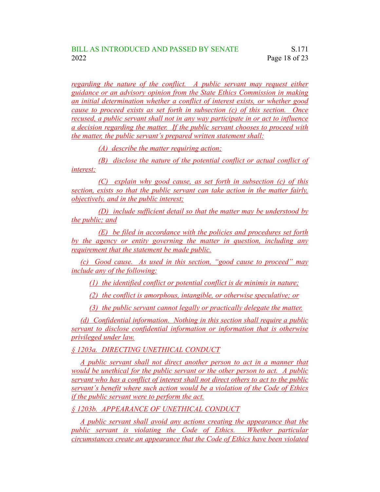*regarding the nature of the conflict. A public servant may request either guidance or an advisory opinion from the State Ethics Commission in making an initial determination whether a conflict of interest exists, or whether good cause to proceed exists as set forth in subsection (c) of this section. Once recused, a public servant shall not in any way participate in or act to influence a decision regarding the matter. If the public servant chooses to proceed with the matter, the public servant's prepared written statement shall:*

*(A) describe the matter requiring action;*

*(B) disclose the nature of the potential conflict or actual conflict of interest;*

*(C) explain why good cause, as set forth in subsection (c) of this section, exists so that the public servant can take action in the matter fairly, objectively, and in the public interest;*

*(D) include sufficient detail so that the matter may be understood by the public; and*

*(E) be filed in accordance with the policies and procedures set forth by the agency or entity governing the matter in question, including any requirement that the statement be made public.*

*(c) Good cause. As used in this section, "good cause to proceed" may include any of the following:*

*(1) the identified conflict or potential conflict is de minimis in nature;*

*(2) the conflict is amorphous, intangible, or otherwise speculative; or*

*(3) the public servant cannot legally or practically delegate the matter.*

*(d) Confidential information. Nothing in this section shall require a public servant to disclose confidential information or information that is otherwise privileged under law.*

*§ 1203a. DIRECTING UNETHICAL CONDUCT*

*A public servant shall not direct another person to act in a manner that would be unethical for the public servant or the other person to act. A public servant who has a conflict of interest shall not direct others to act to the public servant's benefit where such action would be a violation of the Code of Ethics if the public servant were to perform the act.*

*§ 1203b. APPEARANCE OF UNETHICAL CONDUCT*

*A public servant shall avoid any actions creating the appearance that the public servant is violating the Code of Ethics. Whether particular circumstances create an appearance that the Code of Ethics have been violated*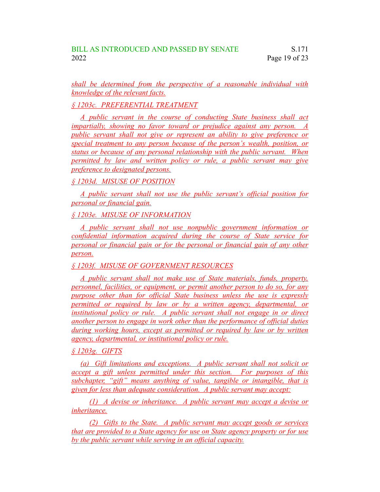*shall be determined from the perspective of a reasonable individual with knowledge of the relevant facts.*

*§ 1203c. PREFERENTIAL TREATMENT*

*A public servant in the course of conducting State business shall act impartially, showing no favor toward or prejudice against any person. A public servant shall not give or represent an ability to give preference or special treatment to any person because of the person's wealth, position, or status or because of any personal relationship with the public servant. When permitted by law and written policy or rule, a public servant may give preference to designated persons.*

*§ 1203d. MISUSE OF POSITION*

*A public servant shall not use the public servant's official position for personal or financial gain.*

*§ 1203e. MISUSE OF INFORMATION*

*A public servant shall not use nonpublic government information or confidential information acquired during the course of State service for personal or financial gain or for the personal or financial gain of any other person.*

*§ 1203f. MISUSE OF GOVERNMENT RESOURCES*

*A public servant shall not make use of State materials, funds, property, personnel, facilities, or equipment, or permit another person to do so, for any purpose other than for official State business unless the use is expressly permitted or required by law or by a written agency, departmental, or institutional policy or rule. A public servant shall not engage in or direct another person to engage in work other than the performance of official duties during working hours, except as permitted or required by law or by written agency, departmental, or institutional policy or rule.*

*§ 1203g. GIFTS*

*(a) Gift limitations and exceptions. A public servant shall not solicit or accept a gift unless permitted under this section. For purposes of this subchapter, "gift" means anything of value, tangible or intangible, that is given for less than adequate consideration. A public servant may accept:*

*(1) A devise or inheritance. A public servant may accept a devise or inheritance.*

*(2) Gifts to the State. A public servant may accept goods or services that are provided to a State agency for use on State agency property or for use by the public servant while serving in an official capacity.*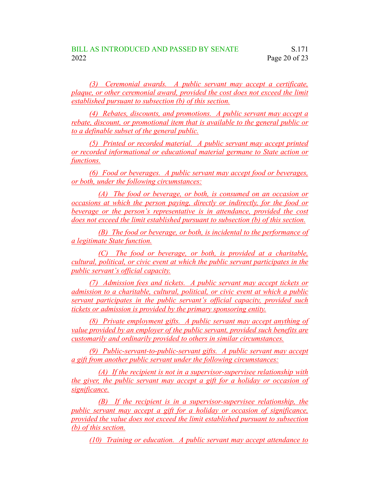*(3) Ceremonial awards. A public servant may accept a certificate, plaque, or other ceremonial award, provided the cost does not exceed the limit established pursuant to subsection (b) of this section.*

*(4) Rebates, discounts, and promotions. A public servant may accept a rebate, discount, or promotional item that is available to the general public or to a definable subset of the general public.*

*(5) Printed or recorded material. A public servant may accept printed or recorded informational or educational material germane to State action or functions.*

*(6) Food or beverages. A public servant may accept food or beverages, or both, under the following circumstances:*

*(A) The food or beverage, or both, is consumed on an occasion or occasions at which the person paying, directly or indirectly, for the food or beverage or the person's representative is in attendance, provided the cost does not exceed the limit established pursuant to subsection (b) of this section.*

*(B) The food or beverage, or both, is incidental to the performance of a legitimate State function.*

*(C) The food or beverage, or both, is provided at a charitable, cultural, political, or civic event at which the public servant participates in the public servant's official capacity.*

*(7) Admission fees and tickets. A public servant may accept tickets or admission to a charitable, cultural, political, or civic event at which a public servant participates in the public servant's official capacity, provided such tickets or admission is provided by the primary sponsoring entity.*

*(8) Private employment gifts. A public servant may accept anything of value provided by an employer of the public servant, provided such benefits are customarily and ordinarily provided to others in similar circumstances.*

*(9) Public-servant-to-public-servant gifts. A public servant may accept a gift from another public servant under the following circumstances:*

*(A) If the recipient is not in a supervisor-supervisee relationship with the giver, the public servant may accept a gift for a holiday or occasion of significance.*

*(B) If the recipient is in a supervisor-supervisee relationship, the public servant may accept a gift for a holiday or occasion of significance, provided the value does not exceed the limit established pursuant to subsection (b) of this section.*

*(10) Training or education. A public servant may accept attendance to*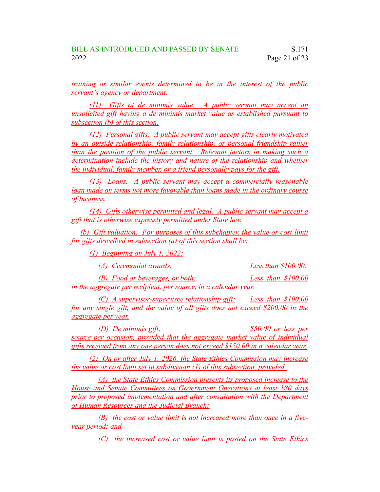*training or similar events determined to be in the interest of the public servant's agency or department.*

*(11) Gifts of de minimis value. A public servant may accept an unsolicited gift having a de minimis market value as established pursuant to subsection (b) of this section.*

*(12) Personal gifts. A public servant may accept gifts clearly motivated by an outside relationship, family relationship, or personal friendship rather than the position of the public servant. Relevant factors in making such a determination include the history and nature of the relationship and whether the individual, family member, or a friend personally pays for the gift.*

*(13) Loans. A public servant may accept a commercially reasonable loan made on terms not more favorable than loans made in the ordinary course of business.*

*(14) Gifts otherwise permitted and legal. A public servant may accept a gift that is otherwise expressly permitted under State law.*

*(b) Gift valuation. For purposes of this subchapter, the value or cost limit for gifts described in subsection (a) of this section shall be:*

*(1) Beginning on July 1, 2022:*

*(A) Ceremonial awards: Less than \$100.00.*

*(B) Food or beverages, or both: Less than \$100.00 in the aggregate per recipient, per source, in a calendar year.*

*(C) A supervisor-supervisee relationship gift: Less than \$100.00 for any single gift, and the value of all gifts does not exceed \$200.00 in the aggregate per year.*

*(D) De minimis gift: \$50.00 or less per source per occasion, provided that the aggregate market value of individual gifts received from any one person does not exceed \$150.00 in a calendar year.*

*(2) On or after July 1, 2026, the State Ethics Commission may increase the value or cost limit set in subdivision (1) of this subsection, provided:*

*(A) the State Ethics Commission presents its proposed increase to the House and Senate Committees on Government Operations at least 180 days prior to proposed implementation and after consultation with the Department of Human Resources and the Judicial Branch;*

*(B) the cost or value limit is not increased more than once in a fiveyear period; and*

*(C) the increased cost or value limit is posted on the State Ethics*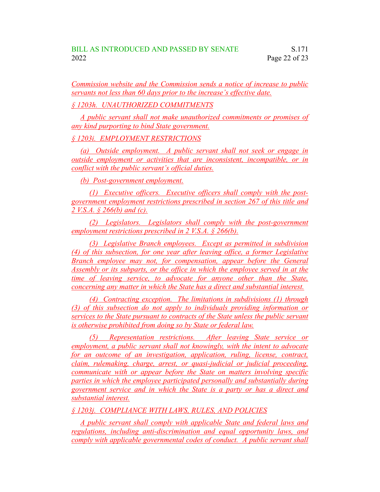*Commission website and the Commission sends a notice of increase to public servants not less than 60 days prior to the increase's effective date.*

*§ 1203h. UNAUTHORIZED COMMITMENTS*

*A public servant shall not make unauthorized commitments or promises of any kind purporting to bind State government.*

*§ 1203i. EMPLOYMENT RESTRICTIONS*

*(a) Outside employment. A public servant shall not seek or engage in outside employment or activities that are inconsistent, incompatible, or in conflict with the public servant's official duties.*

*(b) Post-government employment.*

*(1) Executive officers. Executive officers shall comply with the postgovernment employment restrictions prescribed in section 267 of this title and 2 V.S.A. § 266(b) and (c).*

*(2) Legislators. Legislators shall comply with the post-government employment restrictions prescribed in 2 V.S.A. § 266(b).*

*(3) Legislative Branch employees. Except as permitted in subdivision (4) of this subsection, for one year after leaving office, a former Legislative Branch employee may not, for compensation, appear before the General Assembly or its subparts, or the office in which the employee served in at the time of leaving service, to advocate for anyone other than the State, concerning any matter in which the State has a direct and substantial interest.*

*(4) Contracting exception. The limitations in subdivisions (1) through (3) of this subsection do not apply to individuals providing information or services to the State pursuant to contracts of the State unless the public servant is otherwise prohibited from doing so by State or federal law.*

*(5) Representation restrictions. After leaving State service or employment, a public servant shall not knowingly, with the intent to advocate for an outcome of an investigation, application, ruling, license, contract, claim, rulemaking, charge, arrest, or quasi-judicial or judicial proceeding, communicate with or appear before the State on matters involving specific parties in which the employee participated personally and substantially during government service and in which the State is a party or has a direct and substantial interest.*

*§ 1203j. COMPLIANCE WITH LAWS, RULES, AND POLICIES*

*A public servant shall comply with applicable State and federal laws and regulations, including anti-discrimination and equal opportunity laws, and comply with applicable governmental codes of conduct. A public servant shall*